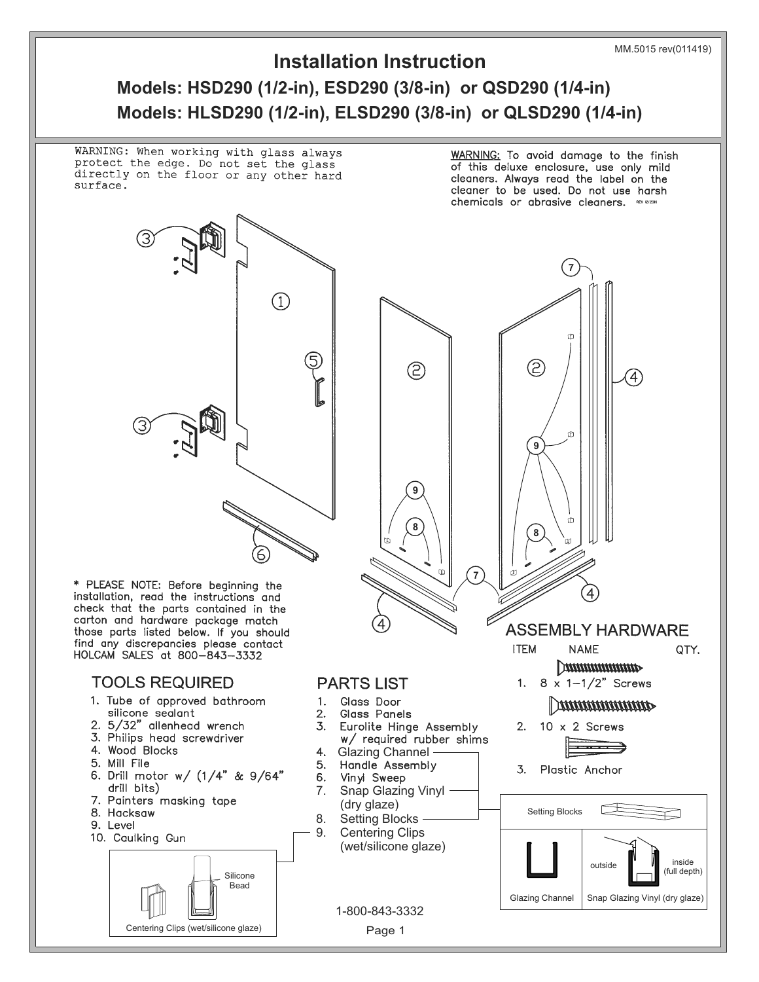## **Installation Instruction** MM.5015 rev(011419) **Models: HSD290 (1/2-in), ESD290 (3/8-in) or QSD290 (1/4-in) Models: HLSD290 (1/2-in), ELSD290 (3/8-in) or QLSD290 (1/4-in)** WARNING: When working with glass always WARNING: To avoid damage to the finish protect the edge. Do not set the glass of this deluxe enclosure, use only mild directly on the floor or any other hard cleaners. Always read the label on the surface. cleaner to be used. Do not use harsh chemicals or abrasive cleaners. \*\*\* zzaro **7**  $\overline{1}$ <u>(දි</u> (ව 3 m **9 98 8 7** \* PLEASE NOTE: Before beginning the installation, read the instructions and<br>check that the parts contained in the carton and hardware package match **ASSEMBLY HARDWARE** those parts listed below. If you should find any discrepancies please contact<br>HOLCAM SALES at 800-843-3332 **ITEM NAME** OTY. **MUMMMMMM TOOLS REQUIRED PARTS LIST** 1.  $8 \times 1 - 1/2$  Screws 1. Tube of approved bathroom  $1.$ Glass Door **Thummmmm** silicone sealant  $2.$ Glass Panels 2. 5/32" allenhead wrench 2. 10 x 2 Screws 3. Eurolite Hinge Assembly 3. Philips head screwdriver w/ required rubber shims  $\overline{\phantom{a}}$ 4. Wood Blocks 4. Glazing Channel -<br>5. Handle Assembly 5. Mill File 3. Plastic Anchor 6. Drill motor w/ (1/4" & 9/64" 6. Vinyl Sweep drill bits) 7. Snap Glazing Vinyl 7. Painters masking tape (dry glaze)<br>8. Setting Blo 8. Hacksaw Setting Blocks Setting Blocks -9. Level 9. Centering Clips 10. Caulking Gun (wet/silicone glaze) inside outside  $\Box$  (full depth) Silicone Bead Glazing Channel | Snap Glazing Vinyl (dry glaze) 1-800-843-3332 Centering Clips (wet/silicone glaze) Page 1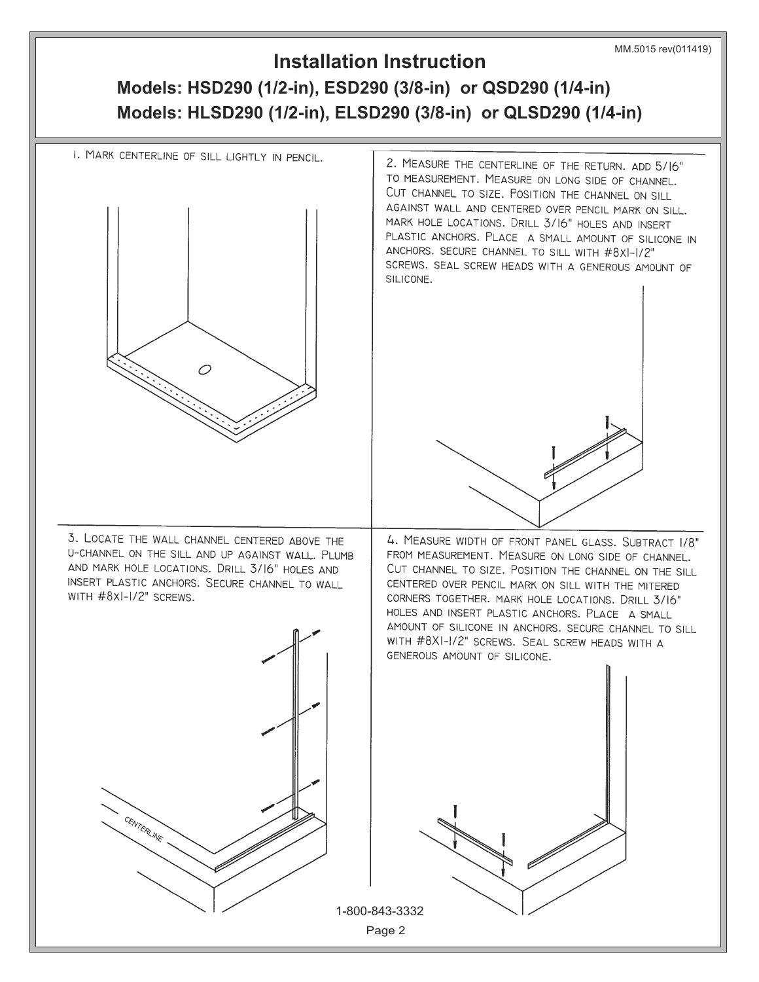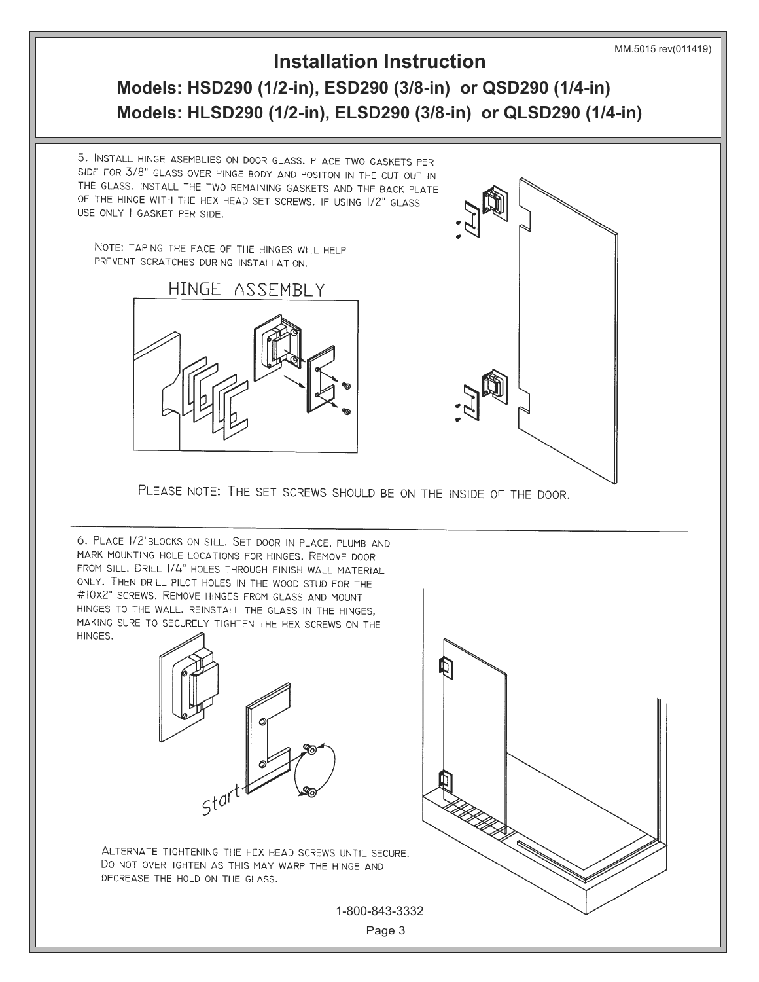## **Installation Instruction** MM.5015 rev(011419)

**Models: HSD290 (1/2-in), ESD290 (3/8-in) or QSD290 (1/4-in) Models: HLSD290 (1/2-in), ELSD290 (3/8-in) or QLSD290 (1/4-in)**